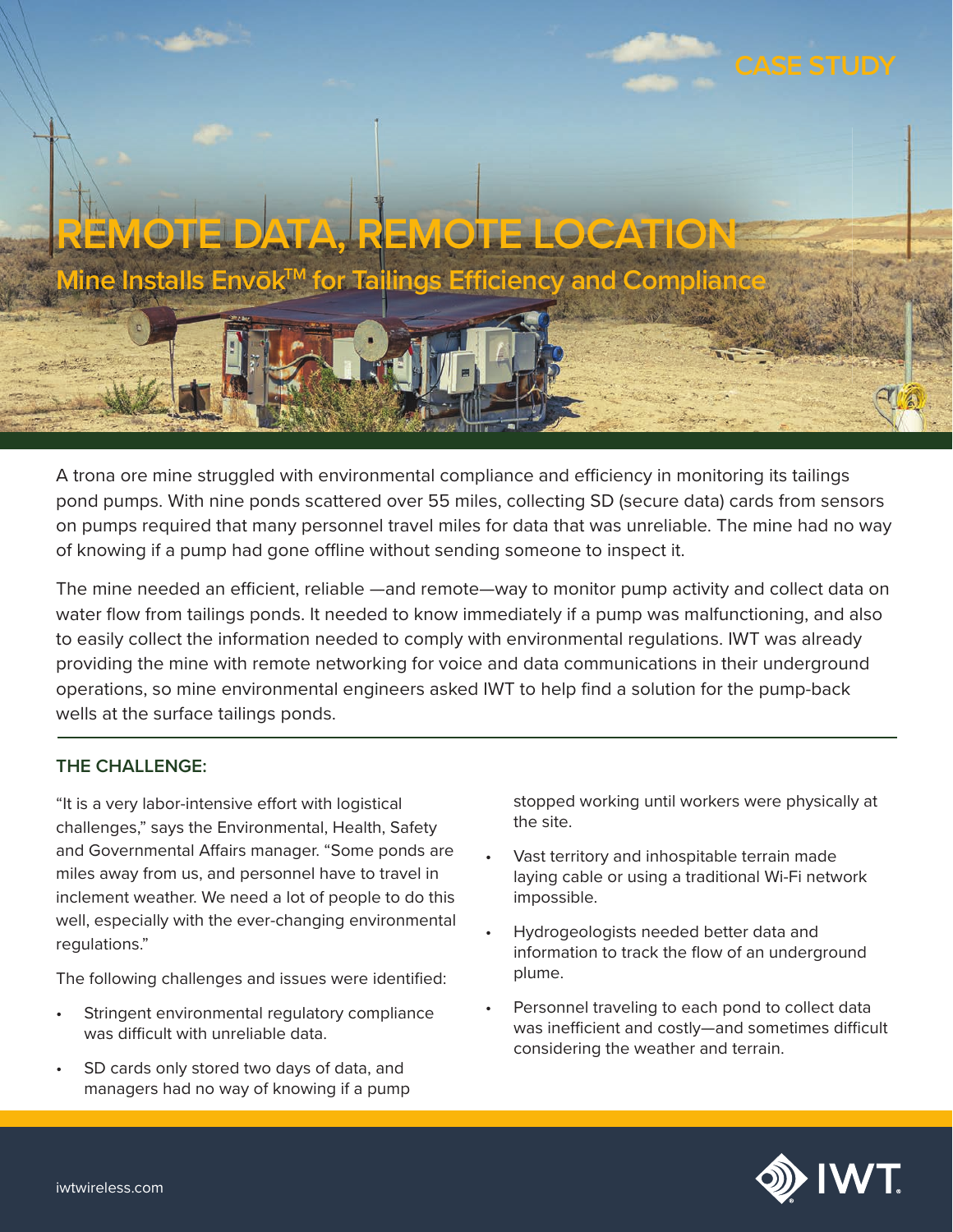

A trona ore mine struggled with environmental compliance and efficiency in monitoring its tailings pond pumps. With nine ponds scattered over 55 miles, collecting SD (secure data) cards from sensors on pumps required that many personnel travel miles for data that was unreliable. The mine had no way of knowing if a pump had gone offline without sending someone to inspect it.

The mine needed an efficient, reliable —and remote—way to monitor pump activity and collect data on water flow from tailings ponds. It needed to know immediately if a pump was malfunctioning, and also to easily collect the information needed to comply with environmental regulations. IWT was already providing the mine with remote networking for voice and data communications in their underground operations, so mine environmental engineers asked IWT to help find a solution for the pump-back wells at the surface tailings ponds.

## **THE CHALLENGE:**

"It is a very labor-intensive effort with logistical challenges," says the Environmental, Health, Safety and Governmental Affairs manager. "Some ponds are miles away from us, and personnel have to travel in inclement weather. We need a lot of people to do this well, especially with the ever-changing environmental regulations."

The following challenges and issues were identified:

- Stringent environmental regulatory compliance was difficult with unreliable data.
- SD cards only stored two days of data, and managers had no way of knowing if a pump

stopped working until workers were physically at the site.

- Vast territory and inhospitable terrain made laying cable or using a traditional Wi-Fi network impossible.
- Hydrogeologists needed better data and information to track the flow of an underground plume.
- Personnel traveling to each pond to collect data was inefficient and costly—and sometimes difficult considering the weather and terrain.